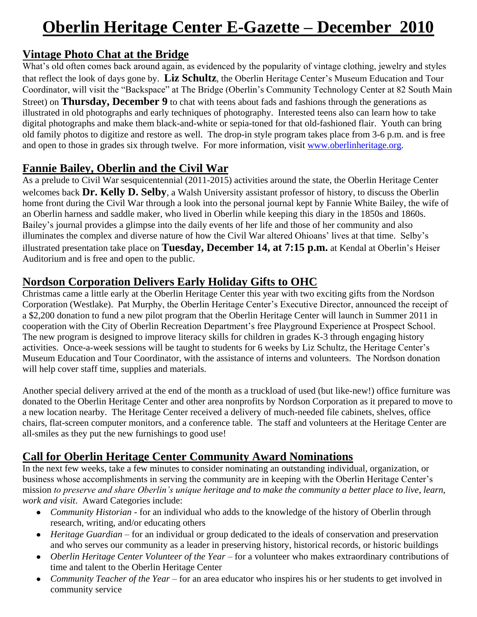# **Oberlin Heritage Center E-Gazette – December 2010**

## **Vintage Photo Chat at the Bridge**

What's old often comes back around again, as evidenced by the popularity of vintage clothing, jewelry and styles that reflect the look of days gone by. **Liz Schultz**, the Oberlin Heritage Center's Museum Education and Tour Coordinator, will visit the "Backspace" at The Bridge (Oberlin's Community Technology Center at 82 South Main Street) on **Thursday, December 9** to chat with teens about fads and fashions through the generations as illustrated in old photographs and early techniques of photography. Interested teens also can learn how to take digital photographs and make them black-and-white or sepia-toned for that old-fashioned flair. Youth can bring old family photos to digitize and restore as well. The drop-in style program takes place from 3-6 p.m. and is free and open to those in grades six through twelve. For more information, visit [www.oberlinheritage.org.](http://www.oberlinheritage.org/)

## **Fannie Bailey, Oberlin and the Civil War**

As a prelude to Civil War sesquicentennial (2011-2015) activities around the state, the Oberlin Heritage Center welcomes back **Dr. Kelly D. Selby**, a Walsh University assistant professor of history, to discuss the Oberlin home front during the Civil War through a look into the personal journal kept by Fannie White Bailey, the wife of an Oberlin harness and saddle maker, who lived in Oberlin while keeping this diary in the 1850s and 1860s. Bailey's journal provides a glimpse into the daily events of her life and those of her community and also illuminates the complex and diverse nature of how the Civil War altered Ohioans' lives at that time. Selby's illustrated presentation take place on **Tuesday, December 14, at 7:15 p.m.** at Kendal at Oberlin's Heiser Auditorium and is free and open to the public.

## **Nordson Corporation Delivers Early Holiday Gifts to OHC**

Christmas came a little early at the Oberlin Heritage Center this year with two exciting gifts from the Nordson Corporation (Westlake). Pat Murphy, the Oberlin Heritage Center's Executive Director, announced the receipt of a \$2,200 donation to fund a new pilot program that the Oberlin Heritage Center will launch in Summer 2011 in cooperation with the City of Oberlin Recreation Department's free Playground Experience at Prospect School. The new program is designed to improve literacy skills for children in grades K-3 through engaging history activities. Once-a-week sessions will be taught to students for 6 weeks by Liz Schultz, the Heritage Center's Museum Education and Tour Coordinator, with the assistance of interns and volunteers. The Nordson donation will help cover staff time, supplies and materials.

Another special delivery arrived at the end of the month as a truckload of used (but like-new!) office furniture was donated to the Oberlin Heritage Center and other area nonprofits by Nordson Corporation as it prepared to move to a new location nearby. The Heritage Center received a delivery of much-needed file cabinets, shelves, office chairs, flat-screen computer monitors, and a conference table. The staff and volunteers at the Heritage Center are all-smiles as they put the new furnishings to good use!

## **Call for Oberlin Heritage Center Community Award Nominations**

In the next few weeks, take a few minutes to consider nominating an outstanding individual, organization, or business whose accomplishments in serving the community are in keeping with the Oberlin Heritage Center's mission *to preserve and share Oberlin's unique heritage and to make the community a better place to live, learn, work and visit*. Award Categories include:

- *Community Historian* for an individual who adds to the knowledge of the history of Oberlin through research, writing, and/or educating others
- *Heritage Guardian* for an individual or group dedicated to the ideals of conservation and preservation and who serves our community as a leader in preserving history, historical records, or historic buildings
- *Oberlin Heritage Center Volunteer of the Year* for a volunteer who makes extraordinary contributions of  $\bullet$ time and talent to the Oberlin Heritage Center
- *Community Teacher of the Year* for an area educator who inspires his or her students to get involved in  $\bullet$ community service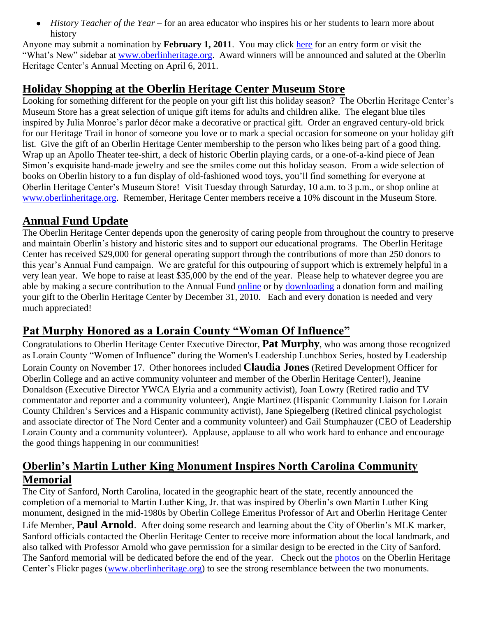*History Teacher of the Year* – for an area educator who inspires his or her students to learn more about history

Anyone may submit a nomination by **February 1, 2011**. You may click [here](http://www.oberlinheritage.org/files/whatsnew/attachments/Awards_Brochure_2011.pdf) for an entry form or visit the "What's New" sidebar at [www.oberlinheritage.org.](http://www.oberlinheritage.org/) Award winners will be announced and saluted at the Oberlin Heritage Center's Annual Meeting on April 6, 2011.

## **Holiday Shopping at the Oberlin Heritage Center Museum Store**

Looking for something different for the people on your gift list this holiday season? The Oberlin Heritage Center's Museum Store has a great selection of unique gift items for adults and children alike. The elegant blue tiles inspired by Julia Monroe's parlor décor make a decorative or practical gift. Order an engraved century-old brick for our Heritage Trail in honor of someone you love or to mark a special occasion for someone on your holiday gift list. Give the gift of an Oberlin Heritage Center membership to the person who likes being part of a good thing. Wrap up an Apollo Theater tee-shirt, a deck of historic Oberlin playing cards, or a one-of-a-kind piece of Jean Simon's exquisite hand-made jewelry and see the smiles come out this holiday season. From a wide selection of books on Oberlin history to a fun display of old-fashioned wood toys, you'll find something for everyone at Oberlin Heritage Center's Museum Store! Visit Tuesday through Saturday, 10 a.m. to 3 p.m., or shop online at [www.oberlinheritage.org.](http://www.oberlinheritage.org/) Remember, Heritage Center members receive a 10% discount in the Museum Store.

#### **Annual Fund Update**

The Oberlin Heritage Center depends upon the generosity of caring people from throughout the country to preserve and maintain Oberlin's history and historic sites and to support our educational programs. The Oberlin Heritage Center has received \$29,000 for general operating support through the contributions of more than 250 donors to this year's Annual Fund campaign. We are grateful for this outpouring of support which is extremely helpful in a very lean year. We hope to raise at least \$35,000 by the end of the year. Please help to whatever degree you are able by making a secure contribution to the Annual Fund [online](https://secure.oberlinheritage.org/donation.shtml) or by [downloading](http://www.oberlinheritage.org/cms/files/File/makeagift.pdf) a donation form and mailing your gift to the Oberlin Heritage Center by December 31, 2010. Each and every donation is needed and very much appreciated!

## **Pat Murphy Honored as a Lorain County "Woman Of Influence"**

Congratulations to Oberlin Heritage Center Executive Director, **Pat Murphy**, who was among those recognized as Lorain County "Women of Influence" during the Women's Leadership Lunchbox Series, hosted by Leadership Lorain County on November 17. Other honorees included **Claudia Jones** (Retired Development Officer for Oberlin College and an active community volunteer and member of the Oberlin Heritage Center!), Jeanine Donaldson (Executive Director YWCA Elyria and a community activist), Joan Lowry (Retired radio and TV commentator and reporter and a community volunteer), Angie Martinez (Hispanic Community Liaison for Lorain County Children's Services and a Hispanic community activist), Jane Spiegelberg (Retired clinical psychologist and associate director of The Nord Center and a community volunteer) and Gail Stumphauzer (CEO of Leadership Lorain County and a community volunteer). Applause, applause to all who work hard to enhance and encourage the good things happening in our communities!

#### **Oberlin"s Martin Luther King Monument Inspires North Carolina Community Memorial**

The City of Sanford, North Carolina, located in the geographic heart of the state, recently announced the completion of a memorial to Martin Luther King, Jr. that was inspired by Oberlin's own Martin Luther King monument, designed in the mid-1980s by Oberlin College Emeritus Professor of Art and Oberlin Heritage Center Life Member, **Paul Arnold**. After doing some research and learning about the City of Oberlin's MLK marker, Sanford officials contacted the Oberlin Heritage Center to receive more information about the local landmark, and also talked with Professor Arnold who gave permission for a similar design to be erected in the City of Sanford. The Sanford memorial will be dedicated before the end of the year. Check out the [photos](http://www.flickr.com/photos/oberlinheritagecenter/) on the Oberlin Heritage Center's Flickr pages [\(www.oberlinheritage.org\)](http://www.oberlinheritage.org/) to see the strong resemblance between the two monuments.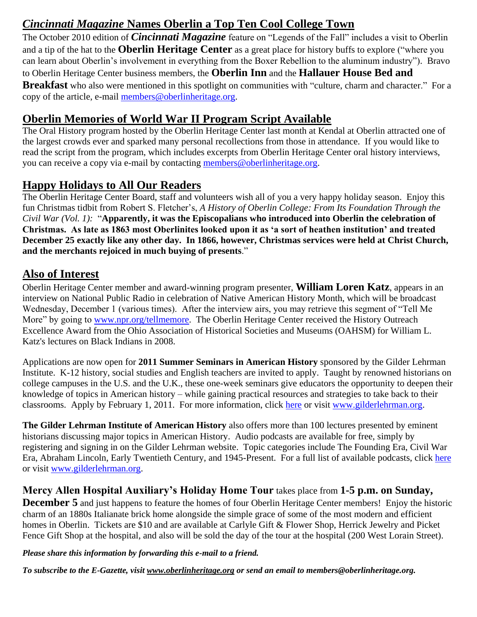## *Cincinnati Magazine* **Names Oberlin a Top Ten Cool College Town**

The October 2010 edition of *Cincinnati Magazine* feature on "Legends of the Fall" includes a visit to Oberlin and a tip of the hat to the **Oberlin Heritage Center** as a great place for history buffs to explore ("where you can learn about Oberlin's involvement in everything from the Boxer Rebellion to the aluminum industry"). Bravo to Oberlin Heritage Center business members, the **Oberlin Inn** and the **Hallauer House Bed and Breakfast** who also were mentioned in this spotlight on communities with "culture, charm and character." For a copy of the article, e-mail [members@oberlinheritage.org.](mailto:members@oberlinheritage.org)

## **Oberlin Memories of World War II Program Script Available**

The Oral History program hosted by the Oberlin Heritage Center last month at Kendal at Oberlin attracted one of the largest crowds ever and sparked many personal recollections from those in attendance. If you would like to read the script from the program, which includes excerpts from Oberlin Heritage Center oral history interviews, you can receive a copy via e-mail by contacting [members@oberlinheritage.org.](mailto:members@oberlinheritage.org)

## **Happy Holidays to All Our Readers**

The Oberlin Heritage Center Board, staff and volunteers wish all of you a very happy holiday season. Enjoy this fun Christmas tidbit from Robert S. Fletcher's, *A History of Oberlin College: From Its Foundation Through the Civil War (Vol. 1):* "**Apparently, it was the Episcopalians who introduced into Oberlin the celebration of Christmas. As late as 1863 most Oberlinites looked upon it as "a sort of heathen institution" and treated December 25 exactly like any other day. In 1866, however, Christmas services were held at Christ Church, and the merchants rejoiced in much buying of presents**."

### **Also of Interest**

Oberlin Heritage Center member and award-winning program presenter, **William Loren Katz**, appears in an interview on National Public Radio in celebration of Native American History Month, which will be broadcast Wednesday, December 1 (various times). After the interview airs, you may retrieve this segment of "Tell Me More" by going to [www.npr.org/tellmemore.](http://www.npr.org/tellmemore) The Oberlin Heritage Center received the History Outreach Excellence Award from the Ohio Association of Historical Societies and Museums (OAHSM) for William L. Katz's lectures on Black Indians in 2008.

Applications are now open for **2011 Summer Seminars in American History** sponsored by the Gilder Lehrman Institute. K-12 history, social studies and English teachers are invited to apply. Taught by renowned historians on college campuses in the U.S. and the U.K., these one-week seminars give educators the opportunity to deepen their knowledge of topics in American history – while gaining practical resources and strategies to take back to their classrooms. Apply by February 1, 2011. For more information, click [here](http://www.gilderlehrman.org/education/seminar_overview.php) or visit [www.gilderlehrman.org.](http://www.gilderlehrman.org/)

**The Gilder Lehrman Institute of American History** also offers more than 100 lectures presented by eminent historians discussing major topics in American History. Audio podcasts are available for free, simply by registering and signing in on the Gilder Lehrman website. Topic categories include The Founding Era, Civil War Era, Abraham Lincoln, Early Twentieth Century, and 1945-Present. For a full list of available podcasts, click [here](http://www.gilderlehrman.org/historians/podcasts/) or visit [www.gilderlehrman.org.](http://www.gilderlehrman.org/)

#### **Mercy Allen Hospital Auxiliary"s Holiday Home Tour** takes place from **1-5 p.m. on Sunday,**

**December 5** and just happens to feature the homes of four Oberlin Heritage Center members! Enjoy the historic charm of an 1880s Italianate brick home alongside the simple grace of some of the most modern and efficient homes in Oberlin. Tickets are \$10 and are available at Carlyle Gift & Flower Shop, Herrick Jewelry and Picket Fence Gift Shop at the hospital, and also will be sold the day of the tour at the hospital (200 West Lorain Street).

#### *Please share this information by forwarding this e-mail to a friend.*

*To subscribe to the E-Gazette, visit [www.oberlinheritage.org](http://www.oberlinheritage.org/) or send an email to members@oberlinheritage.org.*